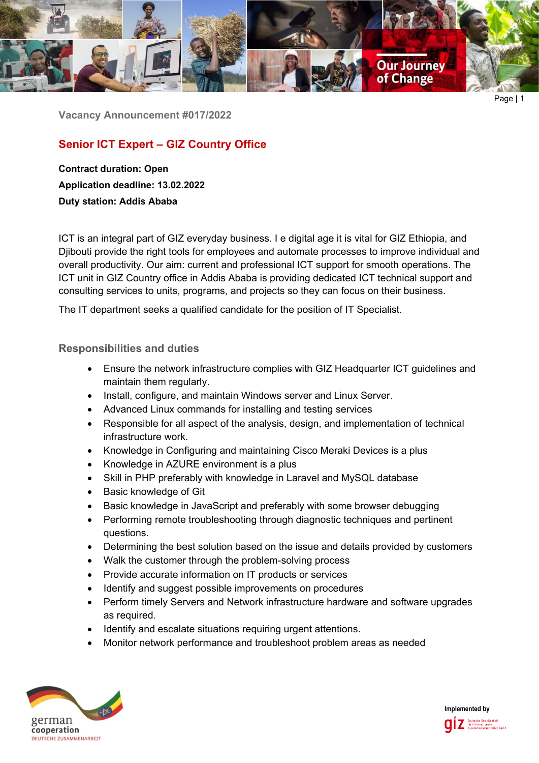

Page | 1

**Vacancy Announcement #017/2022**

# **Senior ICT Expert – GIZ Country Office**

**Contract duration: Open Application deadline: 13.02.2022 Duty station: Addis Ababa**

ICT is an integral part of GIZ everyday business. I e digital age it is vital for GIZ Ethiopia, and Djibouti provide the right tools for employees and automate processes to improve individual and overall productivity. Our aim: current and professional ICT support for smooth operations. The ICT unit in GIZ Country office in Addis Ababa is providing dedicated ICT technical support and consulting services to units, programs, and projects so they can focus on their business.

The IT department seeks a qualified candidate for the position of IT Specialist.

## **Responsibilities and duties**

- Ensure the network infrastructure complies with GIZ Headquarter ICT guidelines and maintain them regularly.
- Install, configure, and maintain Windows server and Linux Server.
- Advanced Linux commands for installing and testing services
- Responsible for all aspect of the analysis, design, and implementation of technical infrastructure work.
- Knowledge in Configuring and maintaining Cisco Meraki Devices is a plus
- Knowledge in AZURE environment is a plus
- Skill in PHP preferably with knowledge in Laravel and MySQL database
- Basic knowledge of Git
- Basic knowledge in JavaScript and preferably with some browser debugging
- Performing remote troubleshooting through diagnostic techniques and pertinent questions.
- Determining the best solution based on the issue and details provided by customers
- Walk the customer through the problem-solving process
- Provide accurate information on IT products or services
- Identify and suggest possible improvements on procedures
- Perform timely Servers and Network infrastructure hardware and software upgrades as required.
- Identify and escalate situations requiring urgent attentions.
- Monitor network performance and troubleshoot problem areas as needed